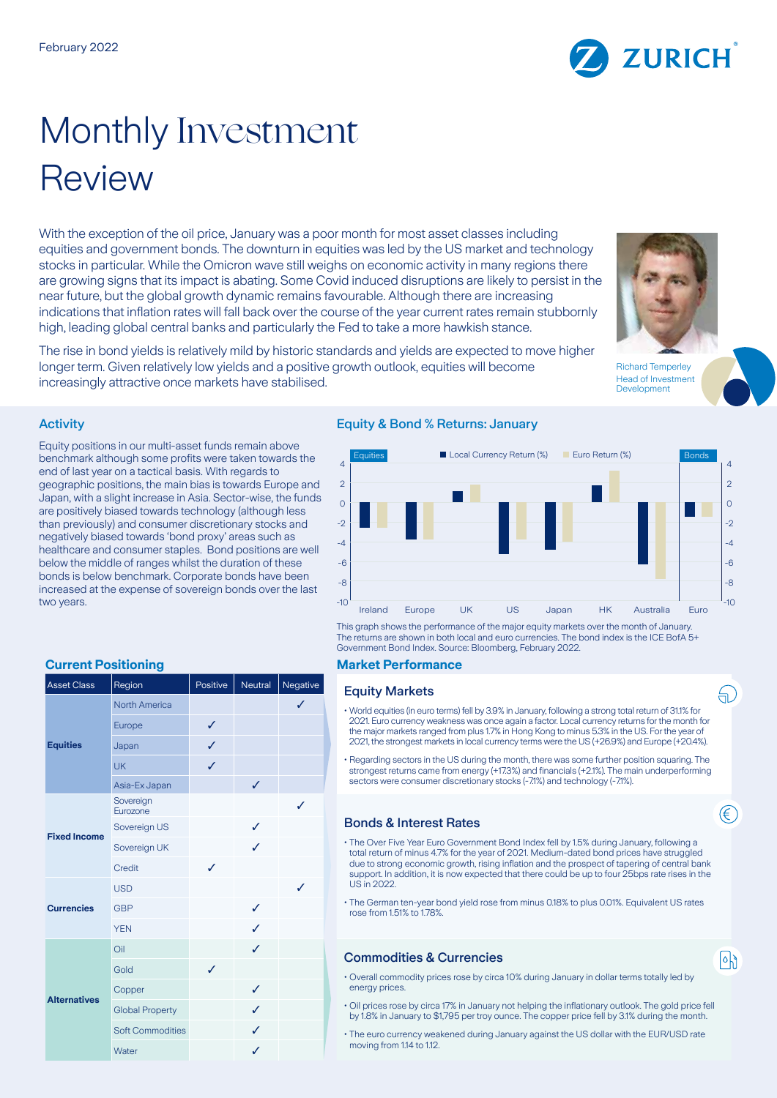# Monthly Investment Review

With the exception of the oil price, January was a poor month for most asset classes including equities and government bonds. The downturn in equities was led by the US market and technology stocks in particular. While the Omicron wave still weighs on economic activity in many regions there are growing signs that its impact is abating. Some Covid induced disruptions are likely to persist in the near future, but the global growth dynamic remains favourable. Although there are increasing indications that inflation rates will fall back over the course of the year current rates remain stubbornly high, leading global central banks and particularly the Fed to take a more hawkish stance.

The rise in bond yields is relatively mild by historic standards and yields are expected to move higher longer term. Given relatively low yields and a positive growth outlook, equities will become increasingly attractive once markets have stabilised.

## Activity

Equity positions in our multi-asset funds remain above benchmark although some profits were taken towards the end of last year on a tactical basis. With regards to geographic positions, the main bias is towards Europe and Japan, with a slight increase in Asia. Sector-wise, the funds are positively biased towards technology (although less than previously) and consumer discretionary stocks and negatively biased towards 'bond proxy' areas such as healthcare and consumer staples. Bond positions are well below the middle of ranges whilst the duration of these bonds is below benchmark. Corporate bonds have been increased at the expense of sovereign bonds over the last two years.

| <b>Asset Class</b>  | Region                  | Positive | Neutral | Negative     |
|---------------------|-------------------------|----------|---------|--------------|
| <b>Equities</b>     | <b>North America</b>    |          |         | $\checkmark$ |
|                     | Europe                  | ✓        |         |              |
|                     | Japan                   | J        |         |              |
|                     | <b>UK</b>               | J        |         |              |
|                     | Asia-Ex Japan           |          | ✓       |              |
| <b>Fixed Income</b> | Sovereign<br>Eurozone   |          |         | ✓            |
|                     | Sovereign US            |          | J       |              |
|                     | Sovereign UK            |          |         |              |
|                     | Credit                  | ℐ        |         |              |
| <b>Currencies</b>   | <b>USD</b>              |          |         | J            |
|                     | <b>GBP</b>              |          | ✓       |              |
|                     | <b>YEN</b>              |          | ✓       |              |
| <b>Alternatives</b> | Oil                     |          | ✓       |              |
|                     | Gold                    | ✓        |         |              |
|                     | Copper                  |          | ✓       |              |
|                     | <b>Global Property</b>  |          | ✓       |              |
|                     | <b>Soft Commodities</b> |          | ✓       |              |
|                     | Water                   |          | ✓       |              |

### Equity & Bond % Returns: January



This graph shows the performance of the major equity markets over the month of January. The returns are shown in both local and euro currencies. The bond index is the ICE BofA 5+ Government Bond Index. Source: Bloomberg, February 2022.

#### **Current Positioning Market Performance**

#### **Equity Markets**

- World equities (in euro terms) fell by 3.9% in January, following a strong total return of 31.1% for 2021. Euro currency weakness was once again a factor. Local currency returns for the month for the major markets ranged from plus 1.7% in Hong Kong to minus 5.3% in the US. For the year of 2021, the strongest markets in local currency terms were the US (+26.9%) and Europe (+20.4%).
- Regarding sectors in the US during the month, there was some further position squaring. The strongest returns came from energy (+17.3%) and financials (+2.1%). The main underperforming sectors were consumer discretionary stocks (-7.1%) and technology (-7.1%).

#### Bonds & Interest Rates

- The Over Five Year Euro Government Bond Index fell by 1.5% during January, following a total return of minus 4.7% for the year of 2021. Medium-dated bond prices have struggled due to strong economic growth, rising inflation and the prospect of tapering of central bank support. In addition, it is now expected that there could be up to four 25bps rate rises in the US in 2022.
- The German ten-year bond yield rose from minus 0.18% to plus 0.01%. Equivalent US rates rose from 1.51% to 1.78%

### Commodities & Currencies

 $|\circ|$ 

ਜ਼ੇ

€

- Overall commodity prices rose by circa 10% during January in dollar terms totally led by energy prices.
- Oil prices rose by circa 17% in January not helping the inflationary outlook. The gold price fell by 1.8% in January to \$1,795 per troy ounce. The copper price fell by 3.1% during the month.
- The euro currency weakened during January against the US dollar with the EUR/USD rate moving from 1.14 to 1.12.



Richard Temperley Head of Investment Development

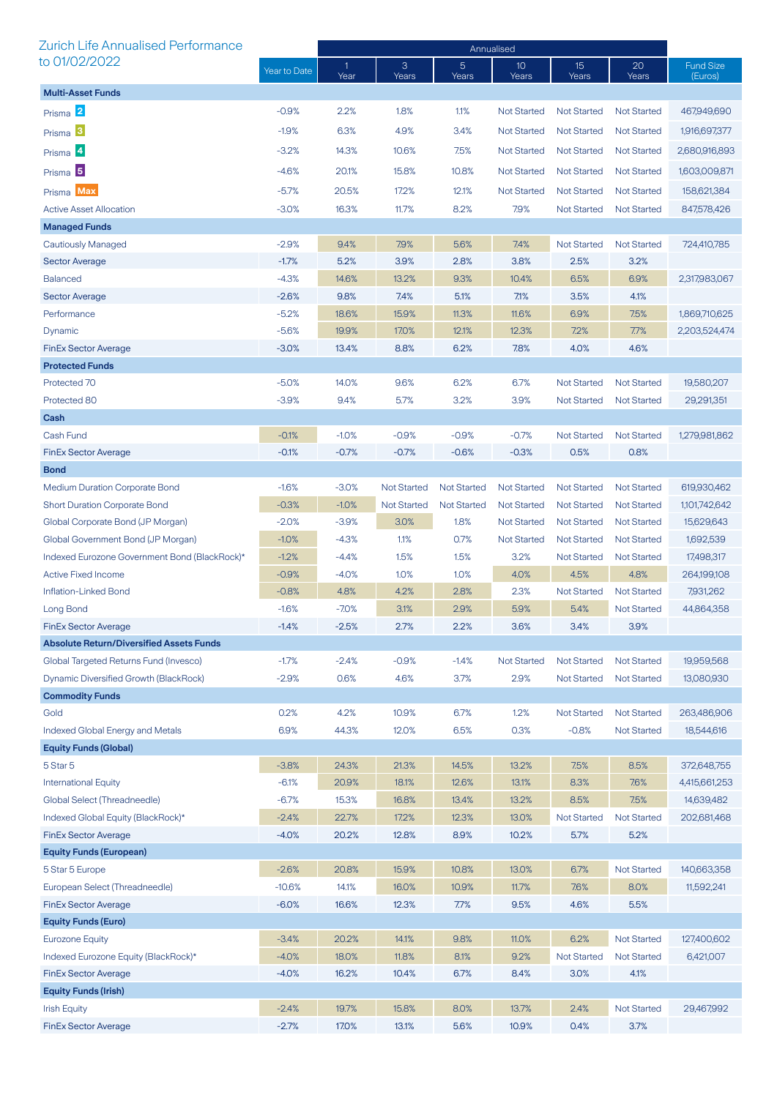| Zurich Life Annualised Performance              |              | Annualised |                    |                         |                          |                            |                            |                             |
|-------------------------------------------------|--------------|------------|--------------------|-------------------------|--------------------------|----------------------------|----------------------------|-----------------------------|
| to 01/02/2022                                   | Year to Date | 1<br>Year  | 3<br>Years         | $\overline{5}$<br>Years | 10 <sup>°</sup><br>Years | 15 <sup>2</sup><br>Years   | 20<br>Years                | <b>Fund Size</b><br>(Euros) |
| <b>Multi-Asset Funds</b>                        |              |            |                    |                         |                          |                            |                            |                             |
| Prisma 2                                        | $-0.9%$      | 2.2%       | 1.8%               | 1.1%                    | <b>Not Started</b>       | <b>Not Started</b>         | <b>Not Started</b>         | 467,949,690                 |
| Prisma <sup>3</sup>                             | $-1.9%$      | 6.3%       | 4.9%               | 3.4%                    | Not Started              | <b>Not Started</b>         | <b>Not Started</b>         | 1,916,697,377               |
| Prisma 4                                        | $-3.2%$      | 14.3%      | 10.6%              | 7.5%                    | <b>Not Started</b>       | <b>Not Started</b>         | <b>Not Started</b>         | 2,680,916,893               |
|                                                 |              |            |                    |                         |                          |                            |                            |                             |
| Prisma <sup>5</sup>                             | $-4.6%$      | 20.1%      | 15.8%              | 10.8%                   | <b>Not Started</b>       | <b>Not Started</b>         | <b>Not Started</b>         | 1,603,009,871               |
| Prisma Max                                      | $-5.7%$      | 20.5%      | 17.2%              | 12.1%                   | <b>Not Started</b>       | <b>Not Started</b>         | <b>Not Started</b>         | 158,621,384                 |
| <b>Active Asset Allocation</b>                  | $-3.0%$      | 16.3%      | 11.7%              | 8.2%                    | 7.9%                     | <b>Not Started</b>         | <b>Not Started</b>         | 847,578,426                 |
| <b>Managed Funds</b>                            |              |            |                    |                         |                          |                            |                            |                             |
| Cautiously Managed                              | $-2.9%$      | 9.4%       | 7.9%               | 5.6%                    | 7.4%                     | <b>Not Started</b>         | <b>Not Started</b>         | 724,410,785                 |
| <b>Sector Average</b>                           | $-1.7%$      | 5.2%       | 3.9%               | 2.8%                    | 3.8%                     | 2.5%                       | 3.2%                       |                             |
| <b>Balanced</b>                                 | $-4.3%$      | 14.6%      | 13.2%              | 9.3%                    | 10.4%                    | 6.5%                       | 6.9%                       | 2,317,983,067               |
| <b>Sector Average</b>                           | $-2.6%$      | 9.8%       | 7.4%               | 5.1%                    | 7.1%                     | 3.5%                       | 4.1%                       |                             |
| Performance                                     | $-5.2%$      | 18.6%      | 15.9%              | 11.3%                   | 11.6%                    | 6.9%                       | 7.5%                       | 1,869,710,625               |
| Dynamic                                         | $-5.6%$      | 19.9%      | 17.0%              | 12.1%                   | 12.3%                    | 7.2%                       | 7.7%                       | 2,203,524,474               |
| <b>FinEx Sector Average</b>                     | $-3.0%$      | 13.4%      | 8.8%               | 6.2%                    | 7.8%                     | 4.0%                       | 4.6%                       |                             |
| <b>Protected Funds</b>                          |              |            |                    |                         |                          |                            |                            |                             |
| Protected 70                                    | $-5.0%$      | 14.0%      | 9.6%               | 6.2%                    | 6.7%                     | <b>Not Started</b>         | <b>Not Started</b>         | 19,580,207                  |
| Protected 80                                    | $-3.9%$      | 9.4%       | 5.7%               | 3.2%                    | 3.9%                     | <b>Not Started</b>         | <b>Not Started</b>         | 29,291,351                  |
| Cash<br>Cash Fund                               |              |            |                    |                         |                          |                            |                            |                             |
|                                                 | $-0.1%$      | $-1.0%$    | $-0.9%$            | $-0.9%$                 | $-0.7%$                  | <b>Not Started</b><br>0.5% | <b>Not Started</b><br>0.8% | 1,279,981,862               |
| <b>FinEx Sector Average</b><br><b>Bond</b>      | $-0.1%$      | $-0.7%$    | $-0.7%$            | $-0.6%$                 | $-0.3%$                  |                            |                            |                             |
| <b>Medium Duration Corporate Bond</b>           | $-1.6%$      | $-3.0%$    | <b>Not Started</b> | <b>Not Started</b>      | <b>Not Started</b>       | <b>Not Started</b>         | <b>Not Started</b>         | 619,930,462                 |
| Short Duration Corporate Bond                   | $-0.3%$      | $-1.0%$    | <b>Not Started</b> | <b>Not Started</b>      | <b>Not Started</b>       | <b>Not Started</b>         | <b>Not Started</b>         | 1,101,742,642               |
| Global Corporate Bond (JP Morgan)               | $-2.0%$      | $-3.9%$    | 3.0%               | 1.8%                    | <b>Not Started</b>       | <b>Not Started</b>         | <b>Not Started</b>         | 15,629,643                  |
| Global Government Bond (JP Morgan)              | $-1.0%$      | $-4.3%$    | 1.1%               | 0.7%                    | <b>Not Started</b>       | <b>Not Started</b>         | <b>Not Started</b>         | 1,692,539                   |
| Indexed Eurozone Government Bond (BlackRock)*   | $-1.2%$      | $-4.4%$    | 1.5%               | 1.5%                    | 3.2%                     | <b>Not Started</b>         | <b>Not Started</b>         | 17,498,317                  |
| <b>Active Fixed Income</b>                      | $-0.9%$      | $-4.0%$    | 1.0%               | 1.0%                    | 4.0%                     | 4.5%                       | 4.8%                       | 264,199,108                 |
| Inflation-Linked Bond                           | $-0.8%$      | 4.8%       | 4.2%               | 2.8%                    | 2.3%                     | <b>Not Started</b>         | <b>Not Started</b>         | 7,931,262                   |
| Long Bond                                       | $-1.6%$      | $-7.0%$    | 3.1%               | 2.9%                    | 5.9%                     | 5.4%                       | <b>Not Started</b>         | 44,864,358                  |
| <b>FinEx Sector Average</b>                     | $-1.4%$      | $-2.5%$    | 2.7%               | 2.2%                    | 3.6%                     | 3.4%                       | 3.9%                       |                             |
| <b>Absolute Return/Diversified Assets Funds</b> |              |            |                    |                         |                          |                            |                            |                             |
| Global Targeted Returns Fund (Invesco)          | $-1.7%$      | $-2.4%$    | $-0.9%$            | $-1.4%$                 | <b>Not Started</b>       | <b>Not Started</b>         | <b>Not Started</b>         | 19,959,568                  |
| Dynamic Diversified Growth (BlackRock)          | $-2.9%$      | 0.6%       | 4.6%               | 3.7%                    | 2.9%                     | <b>Not Started</b>         | <b>Not Started</b>         | 13,080,930                  |
| <b>Commodity Funds</b>                          |              |            |                    |                         |                          |                            |                            |                             |
| Gold                                            | 0.2%         | 4.2%       | 10.9%              | 6.7%                    | 1.2%                     | Not Started                | <b>Not Started</b>         | 263,486,906                 |
| Indexed Global Energy and Metals                | 6.9%         | 44.3%      | 12.0%              | 6.5%                    | 0.3%                     | $-0.8%$                    | <b>Not Started</b>         | 18,544,616                  |
| <b>Equity Funds (Global)</b>                    |              |            |                    |                         |                          |                            |                            |                             |
| 5 Star 5                                        | $-3.8%$      | 24.3%      | 21.3%              | 14.5%                   | 13.2%                    | 7.5%                       | 8.5%                       | 372,648,755                 |
| <b>International Equity</b>                     | $-6.1%$      | 20.9%      | 18.1%              | 12.6%                   | 13.1%                    | 8.3%                       | 7.6%                       | 4,415,661,253               |
| Global Select (Threadneedle)                    | $-6.7%$      | 15.3%      | 16.8%              | 13.4%                   | 13.2%                    | 8.5%                       | 7.5%                       | 14,639,482                  |
| Indexed Global Equity (BlackRock)*              | $-2.4%$      | 22.7%      | 17.2%              | 12.3%                   | 13.0%                    | <b>Not Started</b>         | <b>Not Started</b>         | 202,681,468                 |
| <b>FinEx Sector Average</b>                     | $-4.0%$      | 20.2%      | 12.8%              | 8.9%                    | 10.2%                    | 5.7%                       | 5.2%                       |                             |
| <b>Equity Funds (European)</b>                  |              |            |                    |                         |                          |                            |                            |                             |
| 5 Star 5 Europe                                 | $-2.6%$      | 20.8%      | 15.9%              | 10.8%                   | 13.0%                    | 6.7%                       | <b>Not Started</b>         | 140,663,358                 |
| European Select (Threadneedle)                  | $-10.6%$     | 14.1%      | 16.0%              | 10.9%                   | 11.7%                    | 7.6%                       | 8.0%                       | 11,592,241                  |
| <b>FinEx Sector Average</b>                     | $-6.0%$      | 16.6%      | 12.3%              | 7.7%                    | 9.5%                     | 4.6%                       | 5.5%                       |                             |
| <b>Equity Funds (Euro)</b>                      |              |            |                    |                         |                          |                            |                            |                             |
| <b>Eurozone Equity</b>                          | $-3.4%$      | 20.2%      | 14.1%              | 9.8%                    | 11.0%                    | 6.2%                       | <b>Not Started</b>         | 127,400,602                 |
| Indexed Eurozone Equity (BlackRock)*            | $-4.0%$      | 18.0%      | 11.8%              | 8.1%                    | 9.2%                     | <b>Not Started</b>         | <b>Not Started</b>         | 6,421,007                   |
| <b>FinEx Sector Average</b>                     | $-4.0%$      | 16.2%      | 10.4%              | 6.7%                    | 8.4%                     | 3.0%                       | 4.1%                       |                             |
| <b>Equity Funds (Irish)</b>                     |              |            |                    |                         |                          |                            |                            |                             |
| <b>Irish Equity</b>                             | $-2.4%$      | 19.7%      | 15.8%              | 8.0%                    | 13.7%                    | 2.4%                       | <b>Not Started</b>         | 29,467,992                  |
| <b>FinEx Sector Average</b>                     | $-2.7%$      | 17.0%      | 13.1%              | 5.6%                    | 10.9%                    | 0.4%                       | 3.7%                       |                             |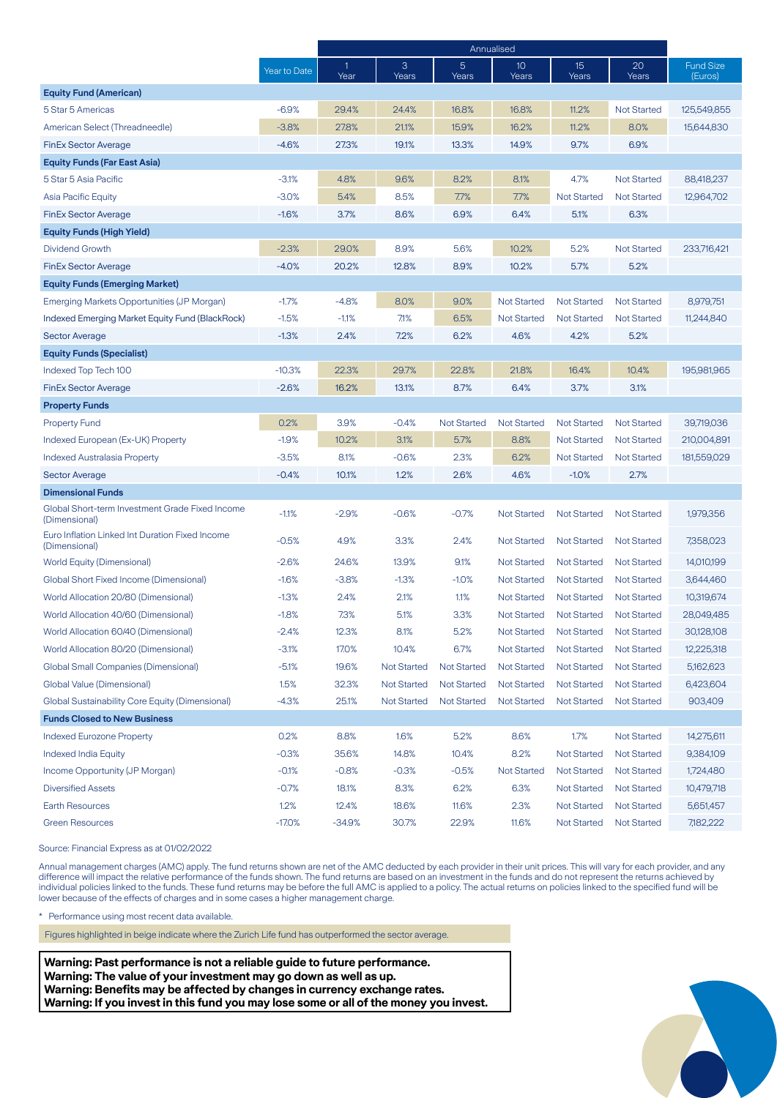|                                                                  |              | Annualised |                    |                         |                          |                    |                    |                             |
|------------------------------------------------------------------|--------------|------------|--------------------|-------------------------|--------------------------|--------------------|--------------------|-----------------------------|
|                                                                  | Year to Date | 1<br>Year  | 3<br>Years         | $\overline{5}$<br>Years | 10 <sup>°</sup><br>Years | 15<br>Years        | 20<br>Years        | <b>Fund Size</b><br>(Euros) |
| <b>Equity Fund (American)</b>                                    |              |            |                    |                         |                          |                    |                    |                             |
| 5 Star 5 Americas                                                | $-6.9%$      | 29.4%      | 24.4%              | 16.8%                   | 16.8%                    | 11.2%              | <b>Not Started</b> | 125,549,855                 |
| American Select (Threadneedle)                                   | $-3.8%$      | 27.8%      | 21.1%              | 15.9%                   | 16.2%                    | 11.2%              | 8.0%               | 15,644,830                  |
| <b>FinEx Sector Average</b>                                      | $-4.6%$      | 27.3%      | 19.1%              | 13.3%                   | 14.9%                    | 9.7%               | 6.9%               |                             |
| <b>Equity Funds (Far East Asia)</b>                              |              |            |                    |                         |                          |                    |                    |                             |
| 5 Star 5 Asia Pacific                                            | $-3.1%$      | 4.8%       | 9.6%               | 8.2%                    | 8.1%                     | 4.7%               | <b>Not Started</b> | 88,418,237                  |
| Asia Pacific Equity                                              | $-3.0%$      | 5.4%       | 8.5%               | 7.7%                    | 7.7%                     | <b>Not Started</b> | <b>Not Started</b> | 12,964,702                  |
| <b>FinEx Sector Average</b>                                      | $-1.6%$      | 3.7%       | 8.6%               | 6.9%                    | 6.4%                     | 5.1%               | 6.3%               |                             |
| <b>Equity Funds (High Yield)</b>                                 |              |            |                    |                         |                          |                    |                    |                             |
| Dividend Growth                                                  | $-2.3%$      | 29.0%      | 8.9%               | 5.6%                    | 10.2%                    | 5.2%               | <b>Not Started</b> | 233,716,421                 |
| <b>FinEx Sector Average</b>                                      | $-4.0%$      | 20.2%      | 12.8%              | 8.9%                    | 10.2%                    | 5.7%               | 5.2%               |                             |
| <b>Equity Funds (Emerging Market)</b>                            |              |            |                    |                         |                          |                    |                    |                             |
| Emerging Markets Opportunities (JP Morgan)                       | $-1.7%$      | $-4.8%$    | 8.0%               | 9.0%                    | <b>Not Started</b>       | <b>Not Started</b> | <b>Not Started</b> | 8,979,751                   |
| Indexed Emerging Market Equity Fund (BlackRock)                  | $-1.5%$      | $-1.1%$    | 7.1%               | 6.5%                    | <b>Not Started</b>       | <b>Not Started</b> | <b>Not Started</b> | 11,244,840                  |
| Sector Average                                                   | $-1.3%$      | 2.4%       | 7.2%               | 6.2%                    | 4.6%                     | 4.2%               | 5.2%               |                             |
| <b>Equity Funds (Specialist)</b>                                 |              |            |                    |                         |                          |                    |                    |                             |
| Indexed Top Tech 100                                             | $-10.3%$     | 22.3%      | 29.7%              | 22.8%                   | 21.8%                    | 16.4%              | 10.4%              | 195,981,965                 |
| <b>FinEx Sector Average</b>                                      | $-2.6%$      | 16.2%      | 13.1%              | 8.7%                    | 6.4%                     | 3.7%               | 3.1%               |                             |
| <b>Property Funds</b>                                            |              |            |                    |                         |                          |                    |                    |                             |
| <b>Property Fund</b>                                             | 0.2%         | 3.9%       | $-0.4%$            | <b>Not Started</b>      | <b>Not Started</b>       | <b>Not Started</b> | <b>Not Started</b> | 39,719,036                  |
| Indexed European (Ex-UK) Property                                | $-1.9%$      | 10.2%      | 3.1%               | 5.7%                    | 8.8%                     | <b>Not Started</b> | <b>Not Started</b> | 210,004,891                 |
| <b>Indexed Australasia Property</b>                              | $-3.5%$      | 8.1%       | $-0.6%$            | 2.3%                    | 6.2%                     | <b>Not Started</b> | <b>Not Started</b> | 181,559,029                 |
| <b>Sector Average</b>                                            | $-0.4%$      | 10.1%      | 1.2%               | 2.6%                    | 4.6%                     | $-1.0%$            | 2.7%               |                             |
| <b>Dimensional Funds</b>                                         |              |            |                    |                         |                          |                    |                    |                             |
| Global Short-term Investment Grade Fixed Income<br>(Dimensional) | $-1.1%$      | $-2.9%$    | $-0.6%$            | $-0.7%$                 | <b>Not Started</b>       | <b>Not Started</b> | <b>Not Started</b> | 1,979,356                   |
| Euro Inflation Linked Int Duration Fixed Income<br>(Dimensional) | $-0.5%$      | 4.9%       | 3.3%               | 2.4%                    | <b>Not Started</b>       | <b>Not Started</b> | <b>Not Started</b> | 7,358,023                   |
| <b>World Equity (Dimensional)</b>                                | $-2.6%$      | 24.6%      | 13.9%              | 9.1%                    | <b>Not Started</b>       | <b>Not Started</b> | <b>Not Started</b> | 14,010,199                  |
| Global Short Fixed Income (Dimensional)                          | $-1.6%$      | $-3.8%$    | $-1.3%$            | $-1.0%$                 | <b>Not Started</b>       | <b>Not Started</b> | <b>Not Started</b> | 3,644,460                   |
| World Allocation 20/80 (Dimensional)                             | $-1.3%$      | 2.4%       | 2.1%               | 1.1%                    | <b>Not Started</b>       | <b>Not Started</b> | <b>Not Started</b> | 10,319,674                  |
| World Allocation 40/60 (Dimensional)                             | $-1.8%$      | 7.3%       | 5.1%               | 3.3%                    | <b>Not Started</b>       | <b>Not Started</b> | <b>Not Started</b> | 28,049,485                  |
| World Allocation 60/40 (Dimensional)                             | $-2.4%$      | 12.3%      | 8.1%               | 5.2%                    | <b>Not Started</b>       | <b>Not Started</b> | <b>Not Started</b> | 30,128,108                  |
| World Allocation 80/20 (Dimensional)                             | $-3.1%$      | 17.0%      | 10.4%              | 6.7%                    | <b>Not Started</b>       | <b>Not Started</b> | <b>Not Started</b> | 12,225,318                  |
| <b>Global Small Companies (Dimensional)</b>                      | $-5.1%$      | 19.6%      | <b>Not Started</b> | <b>Not Started</b>      | <b>Not Started</b>       | <b>Not Started</b> | <b>Not Started</b> | 5,162,623                   |
| Global Value (Dimensional)                                       | 1.5%         | 32.3%      | <b>Not Started</b> | <b>Not Started</b>      | <b>Not Started</b>       | <b>Not Started</b> | <b>Not Started</b> | 6,423,604                   |
| Global Sustainability Core Equity (Dimensional)                  | $-4.3%$      | 25.1%      | Not Started        | <b>Not Started</b>      | <b>Not Started</b>       | <b>Not Started</b> | <b>Not Started</b> | 903,409                     |
| <b>Funds Closed to New Business</b>                              |              |            |                    |                         |                          |                    |                    |                             |
| <b>Indexed Eurozone Property</b>                                 | 0.2%         | 8.8%       | 1.6%               | 5.2%                    | 8.6%                     | 1.7%               | <b>Not Started</b> | 14,275,611                  |
| <b>Indexed India Equity</b>                                      | $-0.3%$      | 35.6%      | 14.8%              | 10.4%                   | 8.2%                     | <b>Not Started</b> | <b>Not Started</b> | 9,384,109                   |
| Income Opportunity (JP Morgan)                                   | $-0.1%$      | $-0.8%$    | $-0.3%$            | $-0.5%$                 | <b>Not Started</b>       | <b>Not Started</b> | <b>Not Started</b> | 1,724,480                   |
| <b>Diversified Assets</b>                                        | $-0.7%$      | 18.1%      | 8.3%               | 6.2%                    | 6.3%                     | Not Started        | <b>Not Started</b> | 10,479,718                  |
| Earth Resources                                                  | 1.2%         | 12.4%      | 18.6%              | 11.6%                   | 2.3%                     | <b>Not Started</b> | <b>Not Started</b> | 5,651,457                   |
| <b>Green Resources</b>                                           | $-17.0%$     | $-34.9%$   | 30.7%              | 22.9%                   | 11.6%                    | <b>Not Started</b> | <b>Not Started</b> | 7,182,222                   |

Source: Financial Express as at 01/02/2022

Annual management charges (AMC) apply. The fund returns shown are net of the AMC deducted by each provider in their unit prices. This will vary for each provider, and any difference will impact the relative performance of the funds shown. The fund returns are based on an investment in the funds and do not represent the returns achieved by individual policies linked to the funds. These fund returns may be before the full AMC is applied to a policy. The actual returns on policies linked to the specified fund will be lower because of the effects of charges and in some cases a higher management charge.

\* Performance using most recent data available.

Figures highlighted in beige indicate where the Zurich Life fund has outperformed the sector average.

**Warning: Past performance is not a reliable guide to future performance. Warning: The value of your investment may go down as well as up. Warning: Benefits may be affected by changes in currency exchange rates. Warning: If you invest in this fund you may lose some or all of the money you invest.**